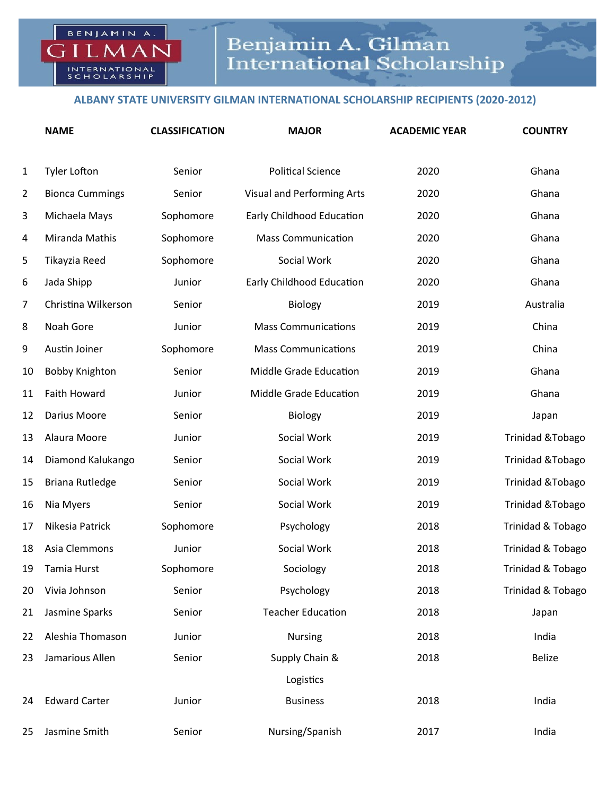## **ALBANY STATE UNIVERSITY GILMAN INTERNATIONAL SCHOLARSHIP RECIPIENTS (2020-2012)**

BENJAMIN A.

 $\triangleright$ 

 $LM$ 

INTERNATIONAL<br>SCHOLARSHIP

|                | <b>NAME</b>            | <b>CLASSIFICATION</b> | <b>MAJOR</b>                  | <b>ACADEMIC YEAR</b> | <b>COUNTRY</b>    |
|----------------|------------------------|-----------------------|-------------------------------|----------------------|-------------------|
| $\mathbf{1}$   | <b>Tyler Lofton</b>    | Senior                | <b>Political Science</b>      | 2020                 | Ghana             |
| $\overline{2}$ | <b>Bionca Cummings</b> | Senior                | Visual and Performing Arts    | 2020                 | Ghana             |
| 3              | Michaela Mays          | Sophomore             | Early Childhood Education     | 2020                 | Ghana             |
| 4              | Miranda Mathis         | Sophomore             | <b>Mass Communication</b>     | 2020                 | Ghana             |
| 5              | Tikayzia Reed          | Sophomore             | Social Work                   | 2020                 | Ghana             |
| 6              | Jada Shipp             | Junior                | Early Childhood Education     | 2020                 | Ghana             |
| 7              | Christina Wilkerson    | Senior                | Biology                       | 2019                 | Australia         |
| 8              | Noah Gore              | Junior                | <b>Mass Communications</b>    | 2019                 | China             |
| 9              | Austin Joiner          | Sophomore             | <b>Mass Communications</b>    | 2019                 | China             |
| 10             | <b>Bobby Knighton</b>  | Senior                | <b>Middle Grade Education</b> | 2019                 | Ghana             |
| 11             | Faith Howard           | Junior                | Middle Grade Education        | 2019                 | Ghana             |
| 12             | Darius Moore           | Senior                | Biology                       | 2019                 | Japan             |
| 13             | Alaura Moore           | Junior                | Social Work                   | 2019                 | Trinidad & Tobago |
| 14             | Diamond Kalukango      | Senior                | Social Work                   | 2019                 | Trinidad & Tobago |
| 15             | <b>Briana Rutledge</b> | Senior                | Social Work                   | 2019                 | Trinidad & Tobago |
| 16             | Nia Myers              | Senior                | Social Work                   | 2019                 | Trinidad & Tobago |
| 17             | Nikesia Patrick        | Sophomore             | Psychology                    | 2018                 | Trinidad & Tobago |
| 18             | Asia Clemmons          | Junior                | Social Work                   | 2018                 | Trinidad & Tobago |
|                | 19 Tamia Hurst         | Sophomore             | Sociology                     | 2018                 | Trinidad & Tobago |
| 20             | Vivia Johnson          | Senior                | Psychology                    | 2018                 | Trinidad & Tobago |
| 21             | Jasmine Sparks         | Senior                | <b>Teacher Education</b>      | 2018                 | Japan             |
| 22             | Aleshia Thomason       | Junior                | Nursing                       | 2018                 | India             |
| 23             | Jamarious Allen        | Senior                | Supply Chain &                | 2018                 | <b>Belize</b>     |
|                |                        |                       | Logistics                     |                      |                   |
| 24             | <b>Edward Carter</b>   | Junior                | <b>Business</b>               | 2018                 | India             |
| 25             | Jasmine Smith          | Senior                | Nursing/Spanish               | 2017                 | India             |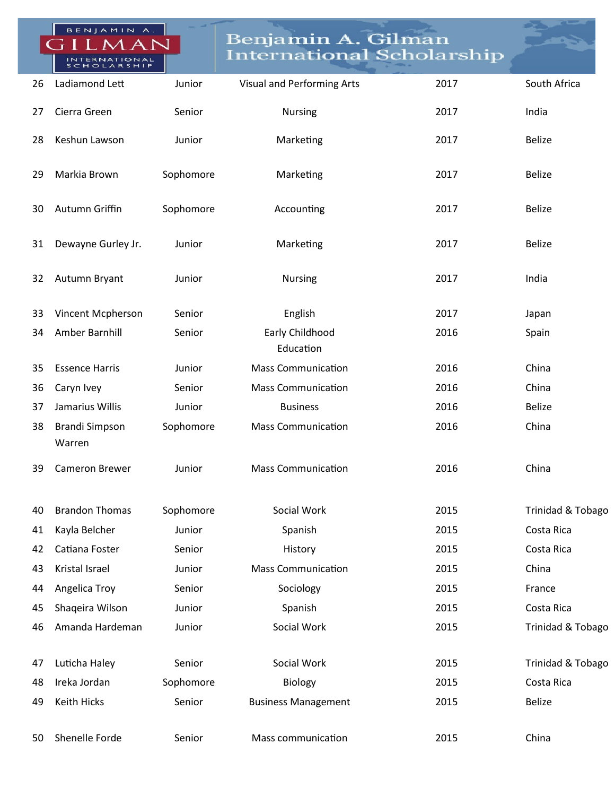|    | BENJAMIN A.<br>NTERNATIONAL<br>SCHOLARSHIP |           | Benjamin A. Gilman<br><b>International Scholarship</b> |      |                   |
|----|--------------------------------------------|-----------|--------------------------------------------------------|------|-------------------|
| 26 | Ladiamond Lett                             | Junior    | Visual and Performing Arts                             | 2017 | South Africa      |
| 27 | Cierra Green                               | Senior    | <b>Nursing</b>                                         | 2017 | India             |
| 28 | Keshun Lawson                              | Junior    | Marketing                                              | 2017 | <b>Belize</b>     |
| 29 | Markia Brown                               | Sophomore | Marketing                                              | 2017 | <b>Belize</b>     |
| 30 | Autumn Griffin                             | Sophomore | Accounting                                             | 2017 | <b>Belize</b>     |
| 31 | Dewayne Gurley Jr.                         | Junior    | Marketing                                              | 2017 | <b>Belize</b>     |
| 32 | Autumn Bryant                              | Junior    | <b>Nursing</b>                                         | 2017 | India             |
| 33 | Vincent Mcpherson                          | Senior    | English                                                | 2017 | Japan             |
| 34 | Amber Barnhill                             | Senior    | Early Childhood<br>Education                           | 2016 | Spain             |
| 35 | <b>Essence Harris</b>                      | Junior    | <b>Mass Communication</b>                              | 2016 | China             |
| 36 | Caryn Ivey                                 | Senior    | <b>Mass Communication</b>                              | 2016 | China             |
| 37 | Jamarius Willis                            | Junior    | <b>Business</b>                                        | 2016 | <b>Belize</b>     |
| 38 | <b>Brandi Simpson</b><br>Warren            | Sophomore | <b>Mass Communication</b>                              | 2016 | China             |
| 39 | <b>Cameron Brewer</b>                      | Junior    | <b>Mass Communication</b>                              | 2016 | China             |
| 40 | <b>Brandon Thomas</b>                      | Sophomore | Social Work                                            | 2015 | Trinidad & Tobago |
| 41 | Kayla Belcher                              | Junior    | Spanish                                                | 2015 | Costa Rica        |
| 42 | Catiana Foster                             | Senior    | History                                                | 2015 | Costa Rica        |
| 43 | Kristal Israel                             | Junior    | <b>Mass Communication</b>                              | 2015 | China             |
| 44 | Angelica Troy                              | Senior    | Sociology                                              | 2015 | France            |
| 45 | Shaqeira Wilson                            | Junior    | Spanish                                                | 2015 | Costa Rica        |
| 46 | Amanda Hardeman                            | Junior    | Social Work                                            | 2015 | Trinidad & Tobago |
| 47 | Luticha Haley                              | Senior    | Social Work                                            | 2015 | Trinidad & Tobago |
| 48 | Ireka Jordan                               | Sophomore | Biology                                                | 2015 | Costa Rica        |
| 49 | <b>Keith Hicks</b>                         | Senior    | <b>Business Management</b>                             | 2015 | <b>Belize</b>     |
| 50 | Shenelle Forde                             | Senior    | Mass communication                                     | 2015 | China             |